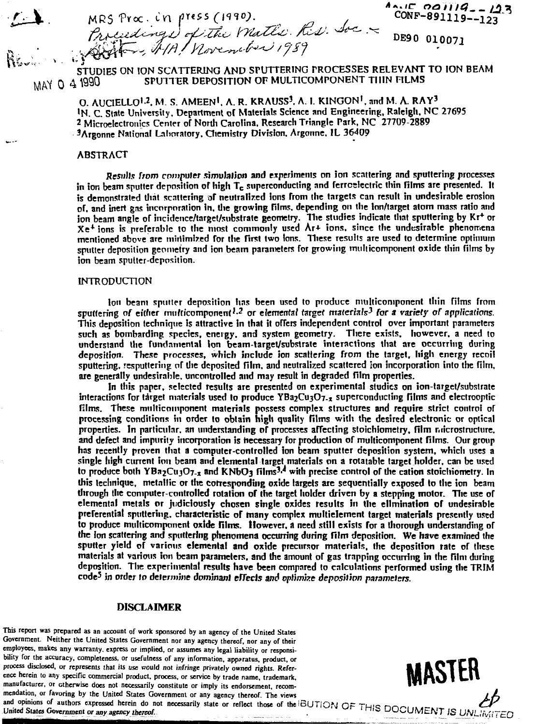$MRS$  proc. in fress ( $H^{10}$ ).<br>Controlligence in the set of the set of  $R_{10}$  and  $R_{20}$  is the set of  $\frac{1}{2}$  $\frac{1}{2}$ 

 $A_0$ .  $C_0$  *a*  $I/I$  *a*<sub>-</sub>  $I$  *2.3*<br>CONF-891119--123

*~ ~***" STUDIES ON ION SCATTERING AND SrUTTERING PROCESSES RELEVANT TO ION BEAM STUDIES O M N T FLMS 0 4 ^ ) SPU1TER DEPOSITION OF MULT1COMPONENT THIN FILMS**

> **O. AUCIELLO<sup>1</sup> - 2 . M. S. AMEEN<sup>1</sup> . A. R. KRAUSS<sup>3</sup> . A. I. KINGON<sup>1</sup> , and M. A. RAY<sup>3</sup> !N. C. State University. Department of Materials Science and Engineering, Raleigh. NC 27695 2 Microelectronics Center or North Carolina. Research Triangle Park, NC 27709-2889 <sup>3</sup>Argonne National Laboratory. Chemistry Division. Argonne. IL 36409**

## ABSTRACT

*>V*

*Results from computer simulation* **and experiments on ion scattering and sputtering processes in ion beam sputter deposition of high Tc superconducting and ferroelectric thin films are presented. It is demonstrated that scattering of neutralized ions from the targets can result in undesirable erosion of. and inert gas incorporation In. the growing films, depending on the Ion/target atom mass ratio and ion beam angle of incidence/target/substrate geometry. Hie studies indicate that sputtering by Kr<sup>+</sup> or Xe <sup>+</sup> ions is preferable to the most commonly used Ar+ ions, since the undesirable phenomena mentioned above are miriimlr.ed for the first two Ions. These results are used to determine optimum sputter deposition geometry and ion beam parameters for growing miiiticomponent oxide thin films by ion beam sputter-deposition.**

#### **INTRODUCTION**

**Ion beam sputter deposition has been used to produce nuilticomponent thin films from** sputtering of either multicomponent<sup>1,2</sup> or elemental target materials<sup>3</sup> for a variety of applications. **This deposition technique is attractive in lhat it offers independent control over important parameters such as bombarding species, energy, and system geometry. There exists, however, a need to understand the fundamental Ion beam-target/substrate interactions that are occurring during deposition. These processes, which include ion scattering from the target, high energy recoil sputtering, resputtering of the deposited film, and neutralized scattered ion incorporation into the film, are generally undesirable, uncontrolled and may result in degraded film properties.**

**In this paper, selected results are presented on experimental studies on ion-target/substrate interactions for target materials used lo produce YBa2Cu3O7-x superconducting films and electrooptic films. These multicomponenl materials possess complex structures and require strict control of processing conditions in order to obtain high quality films with the desired electronic or optical properties. In particular, an understanding of processes affecting stoichiometry, film niicrostructure, and defect and impurity incorporation is hecessary for production of multicomponent films. Our group has recently proven that a computer-controlled ion beam sputter deposition system, which uses a single high current ion beam and elemental target materials on a rotatable target holder, can be used to produce both YBa2CujO7.x and KN0O3 films<sup>3</sup>^ with precise control of the cation stoicliiometry. In this technique, metallic or the corresponding oxide targets are sequentially exposed to the ion beam through the computer-controlled rotation of the target holder driven by a stepping motor. The use of elemental metals or judiciously chosen single oxides results in the elimination of undesirable preferential sputtering, characteristic of many complex multielement target materials presently used to produce miiiticomponent oxide films. However, a need still exists for a thorough understanding of the ion scattering and sputtering phenomena occurring during film deposition. We have examined the sputter yield of various elemental and oxide precursor materials, the deposition rate of these materials at various ion beam parameters, and the amount of gas trapping occurring in the film during deposition. The experimental results have been compared to calculations performed using the TRIM code<sup>5</sup> in order lo determine** *dominant effects and optimize deposition parameters.*

### **DISCLAIMER**

**This report was prepared as an account of work sponsored by an agency of the United States Government. Neither the United States Government nor any agency thereof, nor any of their employees, makes any warranty, express or implied, or assumes any legal liability or responsibility for the accuracy, completeness, or usefulness of any information, apparatus, product, or process disclosed, or represents that its use would not infringe privately owned rights. Reference herein to any specific commercial product, process, or service by trade name, trademark,** manufacturer, or otherwise does not necessarily constitute or imply its endorsement, recom-<br>mendation, or favoring by the United States Government or any agency thereof. The views **mendation, or favoring by the United States Government or any agency thereof. The views /** *JL*



and opinions of authors expressed herein do not necessarily state or reflect those of the BUTION  $\bigcap_{n=1}^{\infty}$   $\bigcap_{n=1}^{\infty}$ United States Government or any agency thereof.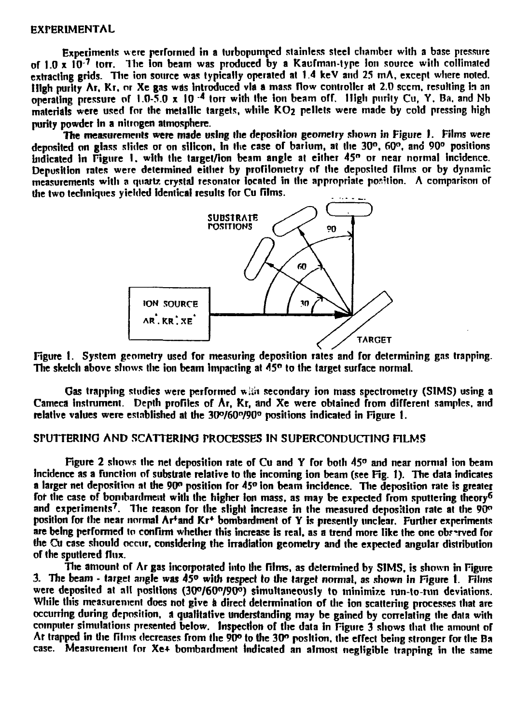#### **EXPERIMENTAL**

**Experiments were performed in a turbopumped stainless steel chamber with a base pressure of 1.0 x 10 <sup>7</sup> torr. Ihe Ion beam was produced by a Kaufman-type ion source with collimated** extracting grids. The ion source was typically operated at 1.4 keV and 25 mA, except where noted. **High purity Ar. Kr. or Xe gas was introduced via a mass flow controller at 2.0 seem, resulting in an operating pressure of 1.0-5.0 x 10 <sup>4</sup> torr with the ion beam orf. High purity Cu, Y. Ba. and Nb materials were used for the metallic targets, while KO2 pellets were made by cold pressing high purity powder in a nitrogen atmosphere.**

**The measurements were made using tlie deposition geometry shown in Figure I. Films were deposited on glass slides or on silicon, in the case of barium, at the 30°. 60°. and 90° positions indicated In Figure I. with the target/ion beam angle at either 45" or near normal incidence. Deposition rates were determined either by profilometry of the deposited films or by dynamic measurements with a quartz crystal resonator located in the appropriate position. A comparison of the two techniques yielded identical results for Cu films.**



**Figure t. System geometry used for measuring deposition rates and for determining gas trapping. The sketch above shows the ion beam impacting at 45° to the target surface normal.**

**Gas trapping studies were performed wkh secondary ion mass spectrometry (SIMS) using a Cameca instrument. Depth profiles of Ar, Kr, and Xe were obtained from different samples, and relative values were established at the 3O°/60<sup>n</sup> /90° positions indicated in Figure 1.**

### **SPUTTERING AND SCATTERING PROCESSES IN SUPERCONDUCTING FILMS**

**Figure 2 shows the net deposition rate of Cu and Y for both 45° and near normal ion beam incidence as a function of substrate relative to the incoming ion beam (see Fig. 1). The data indicates a larger net deposition at the 90° position for 45° ion beam incidence. The deposition rate is greater for the case of bombardment with the higher ion mass, as may be expected from sputtering theory<sup>6</sup>** and experiments<sup>7</sup>. The reason for the slight increase in the measured deposition rate at the 90<sup>o</sup> **position for the near normal Ar+and Kr\* bombardment of Y is presently unclear. Further experiments** are being performed to confirm whether this increase is real, as a trend more like the one observed for **the Cu case should occur, considering the irradiation geometry and the expected angular distribution of the sputtered flux.**

**The amount of Ar gas incorporated into llie films, as determined by SIMS, is shown in Figure 3. The beam - target angle was 45° with respect** *io* **the target normal, as shown in Figure 1. Films were deposited at all positions (3O°/6O°/9O°) simultaneously to minimize run-to-run deviations. While this measurement does not give a direct determination of the ion scattering processes that are occurring during deposition, a qualitative understanding may be gained by correlating the data with** computer simulations presented below. Inspection of the data in Figure 3 shows that the amount of **Ar trapped in the films decreases from Ihe 90° lo Ihe 30° position. Ihe effect being stronger for Ihe Ba case. Measurement for Xe+ bombardment indicated an almost negligible trapping in Ihe same**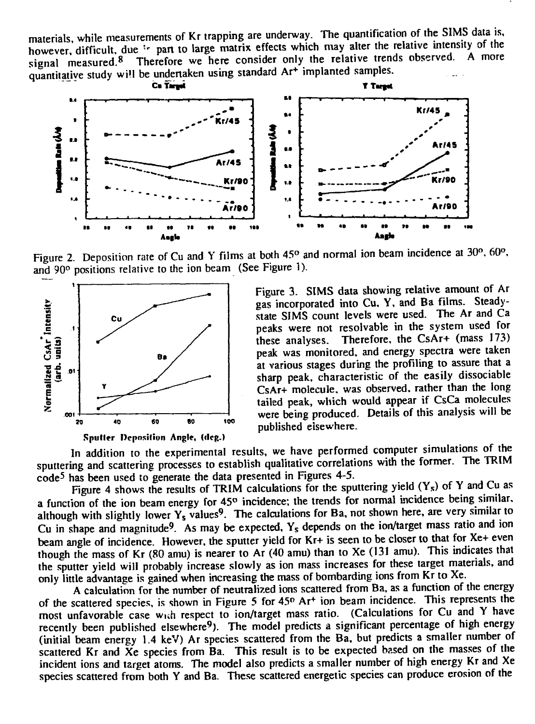materials, while measurements of Kr trapping are underway. The quantification of the SIMS data is, however, difficult, due <sup>1</sup> part to large matrix effects which may alter the relative intensity of the relative intensity of the signal measured. $8$ Therefore we here consider only the relative trends observed. quantitative study will be undertaken using standard Ar<sup>+</sup> implanted samples.



Figure 2. Deposition rate of Cu and Y films at both 45° and normal ion beam incidence at 30°, 60°, and 90° positions relative to the ion beam (See Figure 1).



Figure 3. SIMS data showing relative amount of Ar gas incorporated into Cu, Y, and Ba films. Steadystate SIMS count levels were used. The Ar and Ca peaks were not resolvable in the system used for these analyses. Therefore, the CsAr+ (mass 173) peak was monitored, and energy spectra were taken at various stages during the profiling to assure that a sharp peak, characteristic of the easily dissociable CsAr+ molecule, was observed, rather than the long tailed peak, which would appear if CsCa molecules were being produced. Details of this analysis will be published elsewhere.

In addition to the experimental results, we have performed computer simulations of the sputtering and scattering processes to establish qualitative correlations with the former. The TRIM code<sup>5</sup> has been used to generate the data presented in Figures 4-5.

Figure 4 shows the results of TRIM calculations for the sputtering yield  $(Y_s)$  of Y and Cu as a function of the ion beam energy for 45<sup>o</sup> incidence; the trends for normal incidence being similar, although with slightly lower  $Y_s$  values<sup>9</sup>. The calculations for Ba, not shown here, are very similar to Cu in shape and magnitude<sup>9</sup>. As may be expected,  $Y_s$  depends on the ion/target mass ratio and ion beam angle of incidence. However, the sputter yield for Kr+ is seen to be closer to that for Xe+ even though the mass of Kr (80 amu) is nearer to Ar (40 amu) than to Xe (131 amu). This indicates that the sputter yield will probably increase slowly as ion mass increases for these target materials, and only little advantage is gained when increasing the mass of bombarding ions from Kr to Xe.

A calculation for the number of neutralized ions scattered from Ba, as a function of the energy of the scattered species, is shown in Figure 5 for 45° Ar<sup>+</sup> ion beam incidence. This represents the most unfavorable case wuh respect to ion/target mass ratio. (Calculations for Cu and Y have recently been published elsewhere<sup>9</sup>). The model predicts a significant percentage of high energy (initial beam energy 1.4 keV) Ar species scattered from the Ba, but predicts a smaller number of scattered Kr and Xe species from Ba. This result is to be expected based on the masses of the incident ions and target atoms. The model also predicts a smaller number of high energy Kr and Xe species scattered from both Y and Ba. These scattered energetic species can produce erosion of the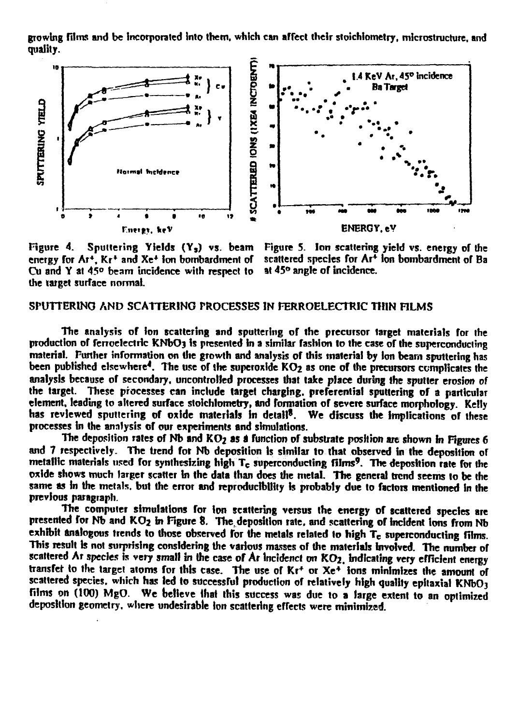**growing films and be Incorporated into them, which can affect their stoichiometry, microstmcture, and quality.**



Figure 4. Sputtering Yields (Y<sub>s</sub>) vs. beam Figure 5. Ion scattering yield vs. energy of the energy for Ar<sup>+</sup>, K<sub>r</sub><sup>+</sup> and Xe<sup>+</sup> ion bombardment of Cu and Y at 45° beam incidence with respect to **the target surface normal.**

scattered species for Ar<sup>+</sup> Ion bombardment of Ba<br>at 45° angle of incidence.

# **SPUTTERINO AND SCATTERING PROCESSES IN FERROELECTRIC THIN FILMS**

**The analysis of ion scattering and sputtering of the precursor target materials for the production of ferroelectric KNbOj is presented in a simitar fashion to the case of the superconducting material. Further information on the growth and analysis of this material by ion beam sputtering has** been published elsewhere<sup>4</sup>. The use of the superoxide KO<sub>2</sub> as one of the precursors complicates the **analysis because of secondary, uncontrolled processes that take place during the sputter erosion of the target. These processes can include target charging, preferential sputtering of a particular element, leading to altered surface stoichiometry, and formation of severe surface morphology. Kelly** has reviewed sputtering of oxide materials in detail<sup>8</sup>. We discuss the implications of these **processes in the analysis of our experiments and simulations.**

The deposition rates of Nb and KO<sub>2</sub> as a function of substrate position are shown in Figures 6 **and 7 respectively. The trend for Nb deposition is similar to that observed in the deposition or metallic materials used for synthesizing high Tc superconducting films'. The deposition rate for the oxide shows much larger scatter In the data than does the metal. The general trend seems to be the same as in the metals, but the error and reproducibUity is probably due to factors mentioned in the previous paragraph.**

**The computer simulations for ion scattering versus the energy of scattered species are** presented for Nb and KO<sub>2</sub> in Figure 8. The deposition rate, and scattering of incident ions from Nb exhibit analogous trends to those observed for the metals related to high T<sub>e</sub> superconducting films. **This result Is not surprising considering the various masses or the materials involved. The number of scattered Ar species is very small in the case of Ar tncidenct on KO2. indicating very efficient energy transfer to the target atoms for this case. The use of Kr<sup>+</sup> or Xe\* Ions minimizes the amount of scattered species, which has led to successful production of relatively high quality epitaxial KNbOj films on (100) MgO. We believe that this success was due to a large extent to an optimized deposition geometry, where undesirable ion scattering effects were minimized.**